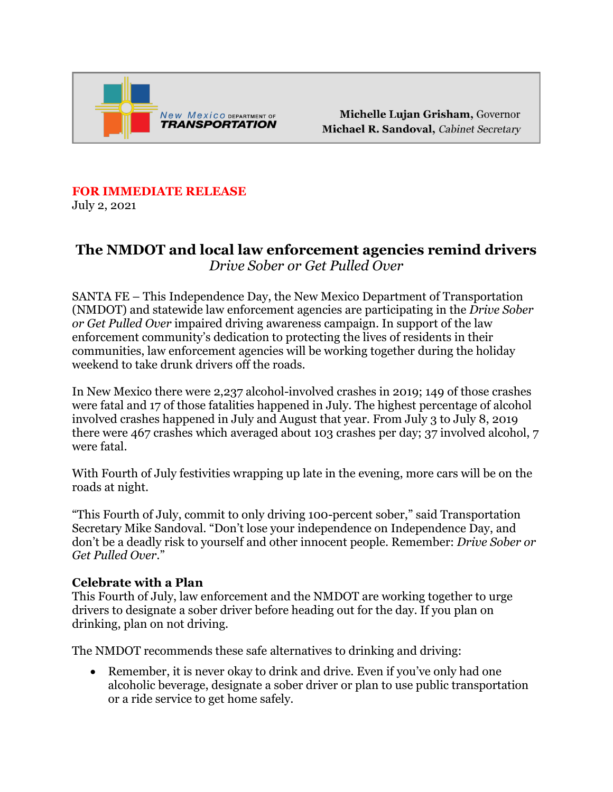

Michelle Lujan Grisham, Governor Michael R. Sandoval, Cabinet Secretary

## **FOR IMMEDIATE RELEASE**

July 2, 2021

## **The NMDOT and local law enforcement agencies remind drivers**  *Drive Sober or Get Pulled Over*

SANTA FE – This Independence Day, the New Mexico Department of Transportation (NMDOT) and statewide law enforcement agencies are participating in the *Drive Sober or Get Pulled Over* impaired driving awareness campaign. In support of the law enforcement community's dedication to protecting the lives of residents in their communities, law enforcement agencies will be working together during the holiday weekend to take drunk drivers off the roads.

In New Mexico there were 2,237 alcohol-involved crashes in 2019; 149 of those crashes were fatal and 17 of those fatalities happened in July. The highest percentage of alcohol involved crashes happened in July and August that year. From July 3 to July 8, 2019 there were 467 crashes which averaged about 103 crashes per day; 37 involved alcohol, 7 were fatal.

With Fourth of July festivities wrapping up late in the evening, more cars will be on the roads at night.

"This Fourth of July, commit to only driving 100-percent sober," said Transportation Secretary Mike Sandoval. "Don't lose your independence on Independence Day, and don't be a deadly risk to yourself and other innocent people. Remember: *Drive Sober or Get Pulled Over*."

## **Celebrate with a Plan**

This Fourth of July, law enforcement and the NMDOT are working together to urge drivers to designate a sober driver before heading out for the day. If you plan on drinking, plan on not driving.

The NMDOT recommends these safe alternatives to drinking and driving:

• Remember, it is never okay to drink and drive. Even if you've only had one alcoholic beverage, designate a sober driver or plan to use public transportation or a ride service to get home safely.